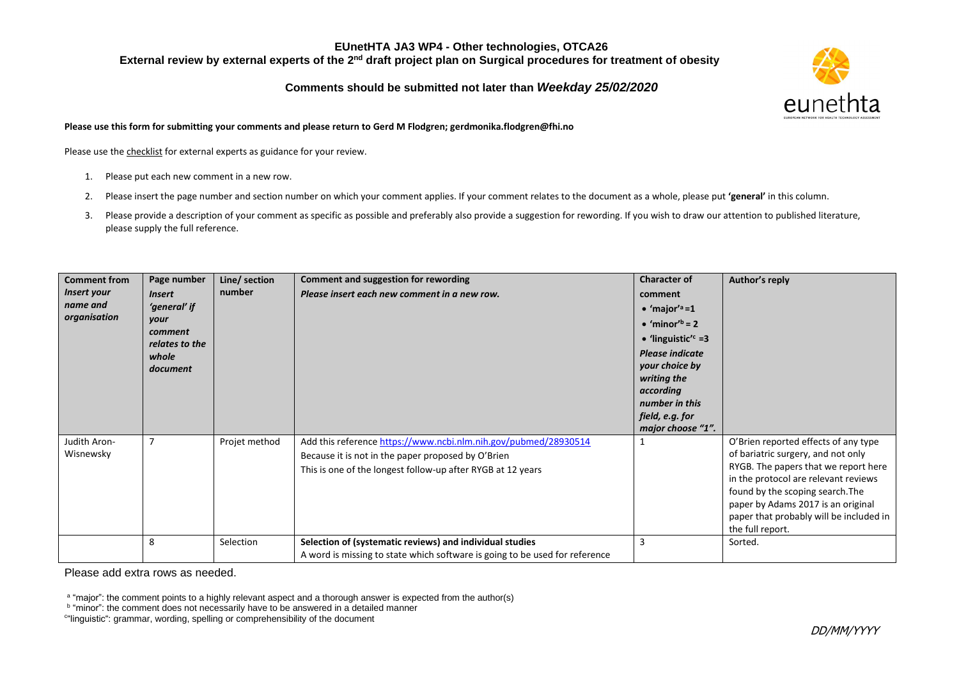## **Comments should be submitted not later than** *Weekday 25/02/2020*



**Please use this form for submitting your comments and please return to Gerd M Flodgren; gerdmonika.flodgren@fhi.no**

Please use the checklist for external experts as guidance for your review.

- 1. Please put each new comment in a new row.
- 2. Please insert the page number and section number on which your comment applies. If your comment relates to the document as a whole, please put **'general'** in this column.
- 3. Please provide a description of your comment as specific as possible and preferably also provide a suggestion for rewording. If you wish to draw our attention to published literature, please supply the full reference.

| <b>Comment from</b><br>Insert your<br>name and<br>organisation | Page number<br><i><b>Insert</b></i><br>'general' if<br>your<br>comment<br>relates to the<br>whole<br>document | Line/ section<br>number | <b>Comment and suggestion for rewording</b><br>Please insert each new comment in a new row.                                                                                          | <b>Character of</b><br>comment<br>$\bullet$ 'major' <sup>a</sup> =1<br>$\bullet$ 'minor' <sup>b</sup> = 2<br>• 'linguistic' $c = 3$<br><b>Please indicate</b><br>your choice by<br>writing the<br>according<br>number in this<br>field, e.g. for<br>major choose "1". | Author's reply                                                                                                                                                                                                                                                                                      |
|----------------------------------------------------------------|---------------------------------------------------------------------------------------------------------------|-------------------------|--------------------------------------------------------------------------------------------------------------------------------------------------------------------------------------|-----------------------------------------------------------------------------------------------------------------------------------------------------------------------------------------------------------------------------------------------------------------------|-----------------------------------------------------------------------------------------------------------------------------------------------------------------------------------------------------------------------------------------------------------------------------------------------------|
| Judith Aron-<br>Wisnewsky                                      | 7                                                                                                             | Projet method           | Add this reference https://www.ncbi.nlm.nih.gov/pubmed/28930514<br>Because it is not in the paper proposed by O'Brien<br>This is one of the longest follow-up after RYGB at 12 years |                                                                                                                                                                                                                                                                       | O'Brien reported effects of any type<br>of bariatric surgery, and not only<br>RYGB. The papers that we report here<br>in the protocol are relevant reviews<br>found by the scoping search. The<br>paper by Adams 2017 is an original<br>paper that probably will be included in<br>the full report. |
|                                                                | 8                                                                                                             | Selection               | Selection of (systematic reviews) and individual studies<br>A word is missing to state which software is going to be used for reference                                              |                                                                                                                                                                                                                                                                       | Sorted.                                                                                                                                                                                                                                                                                             |

Please add extra rows as needed.

a "major": the comment points to a highly relevant aspect and a thorough answer is expected from the author(s)

<sup>&</sup>lt;sup>b</sup> "minor": the comment does not necessarily have to be answered in a detailed manner

c "linguistic": grammar, wording, spelling or comprehensibility of the document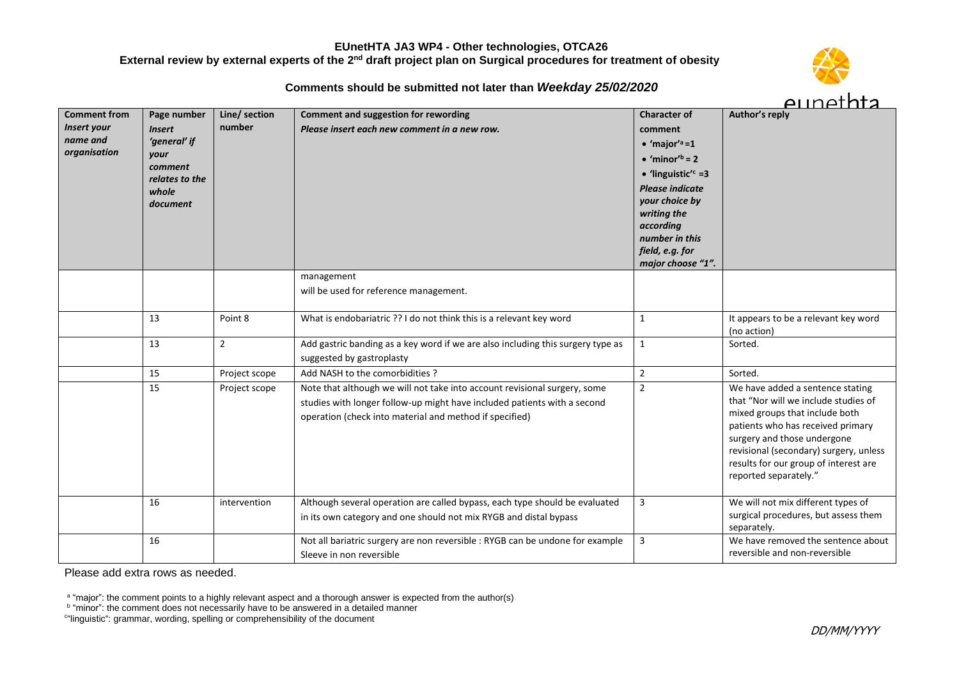# **Comments should be submitted not later than** *Weekday 25/02/2020*



| <b>Comment from</b><br><b>Insert your</b><br>name and<br>organisation | Page number<br><b>Insert</b><br>'general' if<br>your<br>comment<br>relates to the<br>whole<br>document | Line/ section<br>number | <b>Comment and suggestion for rewording</b><br>Please insert each new comment in a new row.                                                                                                                      | <b>Character of</b><br>comment<br>$\bullet$ 'major' <sup>a</sup> =1<br>$\bullet$ 'minor' <sup>b</sup> = 2<br>• 'linguistic' $c = 3$<br><b>Please indicate</b><br>your choice by<br>writing the<br>according<br>number in this<br>field, e.g. for<br>major choose "1". | Author's reply                                                                                                                                                                                                                                                                             |
|-----------------------------------------------------------------------|--------------------------------------------------------------------------------------------------------|-------------------------|------------------------------------------------------------------------------------------------------------------------------------------------------------------------------------------------------------------|-----------------------------------------------------------------------------------------------------------------------------------------------------------------------------------------------------------------------------------------------------------------------|--------------------------------------------------------------------------------------------------------------------------------------------------------------------------------------------------------------------------------------------------------------------------------------------|
|                                                                       |                                                                                                        |                         | management<br>will be used for reference management.                                                                                                                                                             |                                                                                                                                                                                                                                                                       |                                                                                                                                                                                                                                                                                            |
|                                                                       | 13                                                                                                     | Point 8                 | What is endobariatric ?? I do not think this is a relevant key word                                                                                                                                              | $\mathbf{1}$                                                                                                                                                                                                                                                          | It appears to be a relevant key word<br>(no action)                                                                                                                                                                                                                                        |
|                                                                       | 13                                                                                                     | $\overline{2}$          | Add gastric banding as a key word if we are also including this surgery type as<br>suggested by gastroplasty                                                                                                     | $\mathbf{1}$                                                                                                                                                                                                                                                          | Sorted.                                                                                                                                                                                                                                                                                    |
|                                                                       | 15                                                                                                     | Project scope           | Add NASH to the comorbidities ?                                                                                                                                                                                  | $\sqrt{2}$                                                                                                                                                                                                                                                            | Sorted.                                                                                                                                                                                                                                                                                    |
|                                                                       | 15                                                                                                     | Project scope           | Note that although we will not take into account revisional surgery, some<br>studies with longer follow-up might have included patients with a second<br>operation (check into material and method if specified) | $\overline{2}$                                                                                                                                                                                                                                                        | We have added a sentence stating<br>that "Nor will we include studies of<br>mixed groups that include both<br>patients who has received primary<br>surgery and those undergone<br>revisional (secondary) surgery, unless<br>results for our group of interest are<br>reported separately." |
|                                                                       | 16                                                                                                     | intervention            | Although several operation are called bypass, each type should be evaluated<br>in its own category and one should not mix RYGB and distal bypass                                                                 | 3                                                                                                                                                                                                                                                                     | We will not mix different types of<br>surgical procedures, but assess them<br>separately.                                                                                                                                                                                                  |
|                                                                       | 16                                                                                                     |                         | Not all bariatric surgery are non reversible : RYGB can be undone for example<br>Sleeve in non reversible                                                                                                        | 3                                                                                                                                                                                                                                                                     | We have removed the sentence about<br>reversible and non-reversible                                                                                                                                                                                                                        |

Please add extra rows as needed.

<sup>a</sup> "major": the comment points to a highly relevant aspect and a thorough answer is expected from the author(s)<br><sup>b</sup> "minor": the comment does not necessarily have to be answered in a detailed manner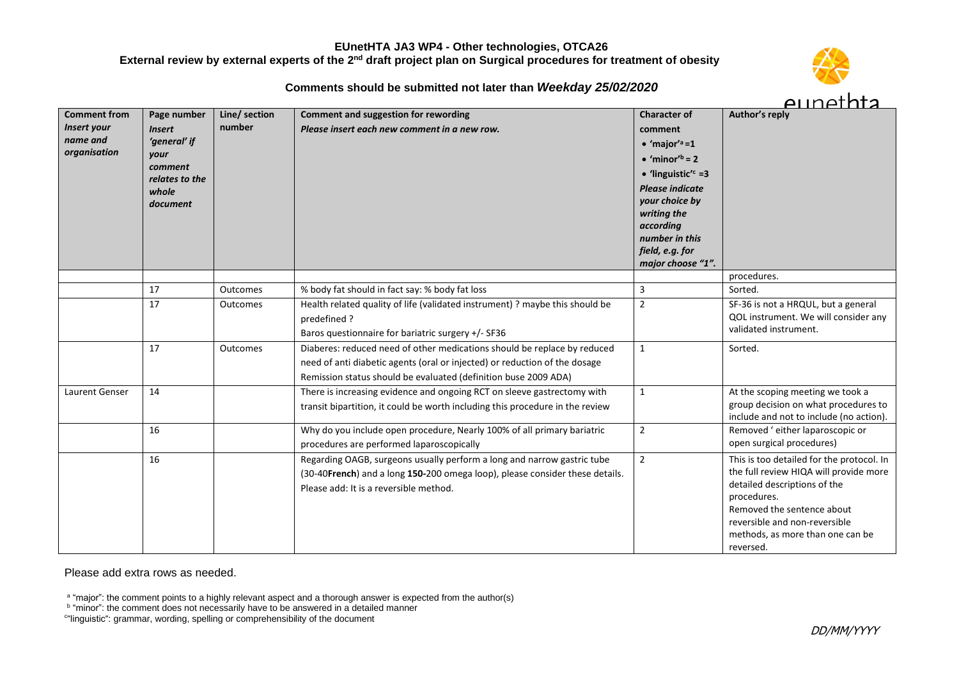# **Comments should be submitted not later than** *Weekday 25/02/2020*



| <b>Comment from</b> | Page number               | Line/ section | Comment and suggestion for rewording                                          | <b>Character of</b>                  | Author's reply                              |
|---------------------|---------------------------|---------------|-------------------------------------------------------------------------------|--------------------------------------|---------------------------------------------|
| Insert your         | <b>Insert</b>             | number        | Please insert each new comment in a new row.                                  | comment                              |                                             |
| name and            | 'general' if              |               |                                                                               | $\bullet$ 'major' <sup>a</sup> =1    |                                             |
| organisation        | your                      |               |                                                                               | $\bullet$ 'minor' <sup>b</sup> = 2   |                                             |
|                     | comment<br>relates to the |               |                                                                               | • 'linguistic' $c = 3$               |                                             |
|                     | whole                     |               |                                                                               | <b>Please indicate</b>               |                                             |
|                     | document                  |               |                                                                               | your choice by                       |                                             |
|                     |                           |               |                                                                               | writing the                          |                                             |
|                     |                           |               |                                                                               | according                            |                                             |
|                     |                           |               |                                                                               | number in this                       |                                             |
|                     |                           |               |                                                                               | field, e.g. for<br>major choose "1". |                                             |
|                     |                           |               |                                                                               |                                      | procedures.                                 |
|                     | 17                        | Outcomes      | % body fat should in fact say: % body fat loss                                | 3                                    | Sorted.                                     |
|                     | 17                        | Outcomes      | Health related quality of life (validated instrument) ? maybe this should be  | $\overline{2}$                       | SF-36 is not a HRQUL, but a general         |
|                     |                           |               | predefined?                                                                   |                                      | QOL instrument. We will consider any        |
|                     |                           |               | Baros questionnaire for bariatric surgery +/- SF36                            |                                      | validated instrument.                       |
|                     | 17                        | Outcomes      | Diaberes: reduced need of other medications should be replace by reduced      | $\mathbf{1}$                         | Sorted.                                     |
|                     |                           |               | need of anti diabetic agents (oral or injected) or reduction of the dosage    |                                      |                                             |
|                     |                           |               | Remission status should be evaluated (definition buse 2009 ADA)               |                                      |                                             |
| Laurent Genser      | 14                        |               | There is increasing evidence and ongoing RCT on sleeve gastrectomy with       | $\mathbf{1}$                         | At the scoping meeting we took a            |
|                     |                           |               | transit bipartition, it could be worth including this procedure in the review |                                      | group decision on what procedures to        |
|                     |                           |               |                                                                               |                                      | include and not to include (no action).     |
|                     | 16                        |               | Why do you include open procedure, Nearly 100% of all primary bariatric       | $\overline{2}$                       | Removed 'either laparoscopic or             |
|                     |                           |               | procedures are performed laparoscopically                                     |                                      | open surgical procedures)                   |
|                     | 16                        |               | Regarding OAGB, surgeons usually perform a long and narrow gastric tube       | $\overline{2}$                       | This is too detailed for the protocol. In   |
|                     |                           |               | (30-40French) and a long 150-200 omega loop), please consider these details.  |                                      | the full review HIQA will provide more      |
|                     |                           |               | Please add: It is a reversible method.                                        |                                      | detailed descriptions of the<br>procedures. |
|                     |                           |               |                                                                               |                                      | Removed the sentence about                  |
|                     |                           |               |                                                                               |                                      | reversible and non-reversible               |
|                     |                           |               |                                                                               |                                      | methods, as more than one can be            |
|                     |                           |               |                                                                               |                                      | reversed.                                   |

Please add extra rows as needed.

<sup>a</sup> "major": the comment points to a highly relevant aspect and a thorough answer is expected from the author(s)<br><sup>b</sup> "minor": the comment does not necessarily have to be answered in a detailed manner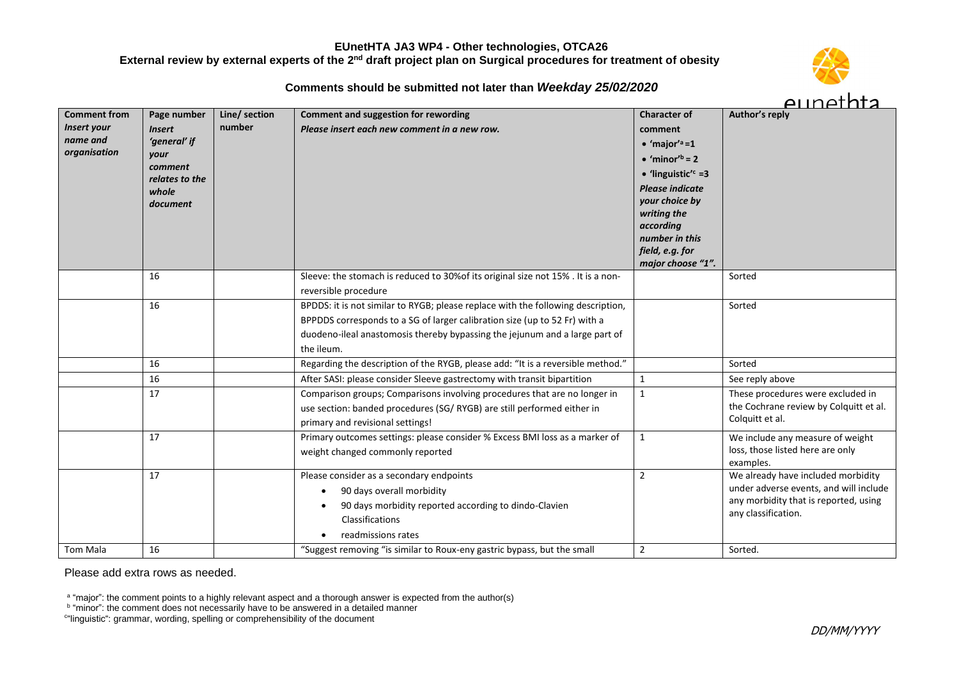# **Comments should be submitted not later than** *Weekday 25/02/2020*



| <b>Comment from</b><br>Insert your<br>name and<br>organisation | Page number<br><b>Insert</b><br>'general' if<br>your<br>comment<br>relates to the<br>whole<br>document | Line/ section<br>number | <b>Comment and suggestion for rewording</b><br>Please insert each new comment in a new row.                                                                                                                                                                 | <b>Character of</b><br>comment<br>$\bullet$ 'major' <sup>a</sup> =1<br>$\bullet$ 'minor' <sup>b</sup> = 2<br>• 'linguistic' $=$ 3<br><b>Please indicate</b><br>your choice by<br>writing the<br>according<br>number in this<br>field, e.g. for<br>major choose "1". | Author's reply                                                                                                                               |
|----------------------------------------------------------------|--------------------------------------------------------------------------------------------------------|-------------------------|-------------------------------------------------------------------------------------------------------------------------------------------------------------------------------------------------------------------------------------------------------------|---------------------------------------------------------------------------------------------------------------------------------------------------------------------------------------------------------------------------------------------------------------------|----------------------------------------------------------------------------------------------------------------------------------------------|
|                                                                | 16                                                                                                     |                         | Sleeve: the stomach is reduced to 30% of its original size not 15% . It is a non-<br>reversible procedure                                                                                                                                                   |                                                                                                                                                                                                                                                                     | Sorted                                                                                                                                       |
|                                                                | 16                                                                                                     |                         | BPDDS: it is not similar to RYGB; please replace with the following description,<br>BPPDDS corresponds to a SG of larger calibration size (up to 52 Fr) with a<br>duodeno-ileal anastomosis thereby bypassing the jejunum and a large part of<br>the ileum. |                                                                                                                                                                                                                                                                     | Sorted                                                                                                                                       |
|                                                                | 16                                                                                                     |                         | Regarding the description of the RYGB, please add: "It is a reversible method."                                                                                                                                                                             |                                                                                                                                                                                                                                                                     | Sorted                                                                                                                                       |
|                                                                | 16                                                                                                     |                         | After SASI: please consider Sleeve gastrectomy with transit bipartition                                                                                                                                                                                     | $\mathbf{1}$                                                                                                                                                                                                                                                        | See reply above                                                                                                                              |
|                                                                | 17                                                                                                     |                         | Comparison groups; Comparisons involving procedures that are no longer in<br>use section: banded procedures (SG/RYGB) are still performed either in<br>primary and revisional settings!                                                                     | $\mathbf{1}$                                                                                                                                                                                                                                                        | These procedures were excluded in<br>the Cochrane review by Colquitt et al.<br>Colquitt et al.                                               |
|                                                                | 17                                                                                                     |                         | Primary outcomes settings: please consider % Excess BMI loss as a marker of<br>weight changed commonly reported                                                                                                                                             | $\mathbf{1}$                                                                                                                                                                                                                                                        | We include any measure of weight<br>loss, those listed here are only<br>examples.                                                            |
|                                                                | 17                                                                                                     |                         | Please consider as a secondary endpoints<br>90 days overall morbidity<br>90 days morbidity reported according to dindo-Clavien<br>Classifications<br>readmissions rates                                                                                     | 2                                                                                                                                                                                                                                                                   | We already have included morbidity<br>under adverse events, and will include<br>any morbidity that is reported, using<br>any classification. |
| <b>Tom Mala</b>                                                | 16                                                                                                     |                         | "Suggest removing "is similar to Roux-eny gastric bypass, but the small                                                                                                                                                                                     | $\overline{2}$                                                                                                                                                                                                                                                      | Sorted.                                                                                                                                      |

Please add extra rows as needed.

<sup>a</sup> "major": the comment points to a highly relevant aspect and a thorough answer is expected from the author(s)<br><sup>b</sup> "minor": the comment does not necessarily have to be answered in a detailed manner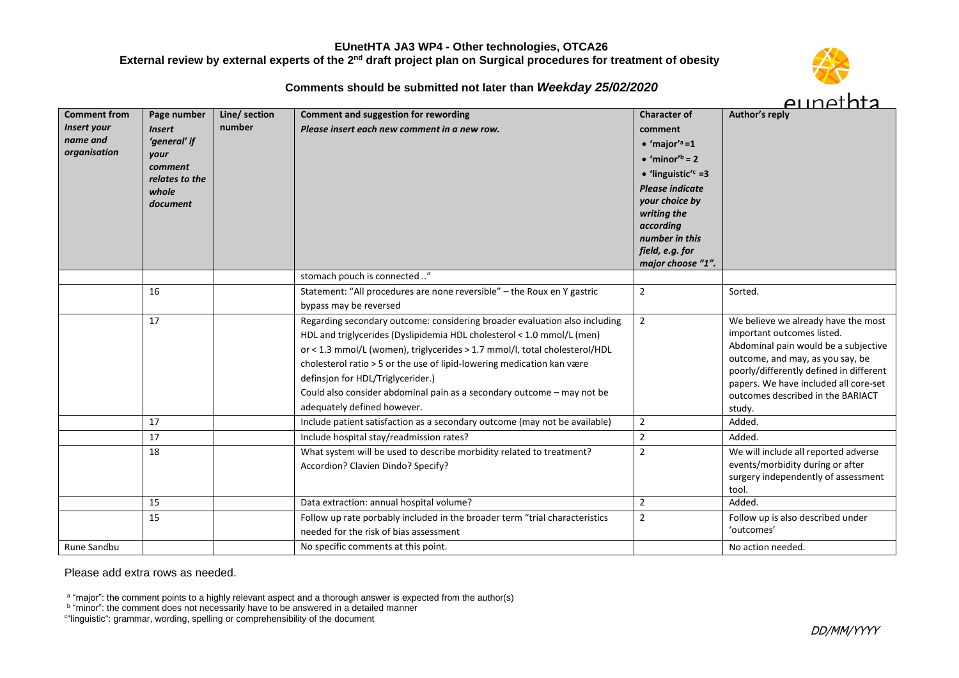## **Comments should be submitted not later than** *Weekday 25/02/2020*



| <b>Comment from</b> | Page number               | Line/ section | <b>Comment and suggestion for rewording</b>                                 | <b>Character of</b>                | Author's reply                                                              |
|---------------------|---------------------------|---------------|-----------------------------------------------------------------------------|------------------------------------|-----------------------------------------------------------------------------|
| Insert your         | <b>Insert</b>             | number        | Please insert each new comment in a new row.                                | comment                            |                                                                             |
| name and            | 'general' if              |               |                                                                             | $\bullet$ 'major' <sup>a</sup> =1  |                                                                             |
| organisation        | your                      |               |                                                                             | $\bullet$ 'minor' <sup>b</sup> = 2 |                                                                             |
|                     | comment<br>relates to the |               |                                                                             | • 'linguistic' $c = 3$             |                                                                             |
|                     | whole                     |               |                                                                             | <b>Please indicate</b>             |                                                                             |
|                     | document                  |               |                                                                             | your choice by                     |                                                                             |
|                     |                           |               |                                                                             | writing the                        |                                                                             |
|                     |                           |               |                                                                             | according<br>number in this        |                                                                             |
|                     |                           |               |                                                                             | field, e.g. for                    |                                                                             |
|                     |                           |               |                                                                             | major choose "1".                  |                                                                             |
|                     |                           |               | stomach pouch is connected "                                                |                                    |                                                                             |
|                     | 16                        |               | Statement: "All procedures are none reversible" - the Roux en Y gastric     | $\sqrt{2}$                         | Sorted.                                                                     |
|                     |                           |               | bypass may be reversed                                                      |                                    |                                                                             |
|                     | 17                        |               | Regarding secondary outcome: considering broader evaluation also including  | $\overline{2}$                     | We believe we already have the most                                         |
|                     |                           |               | HDL and triglycerides (Dyslipidemia HDL cholesterol < 1.0 mmol/L (men)      |                                    | important outcomes listed.                                                  |
|                     |                           |               | or < 1.3 mmol/L (women), triglycerides > 1.7 mmol/l, total cholesterol/HDL  |                                    | Abdominal pain would be a subjective                                        |
|                     |                           |               | cholesterol ratio > 5 or the use of lipid-lowering medication kan være      |                                    | outcome, and may, as you say, be<br>poorly/differently defined in different |
|                     |                           |               | definsjon for HDL/Triglycerider.)                                           |                                    | papers. We have included all core-set                                       |
|                     |                           |               | Could also consider abdominal pain as a secondary outcome - may not be      |                                    | outcomes described in the BARIACT                                           |
|                     |                           |               | adequately defined however.                                                 |                                    | study.                                                                      |
|                     | 17                        |               | Include patient satisfaction as a secondary outcome (may not be available)  | $\sqrt{2}$                         | Added.                                                                      |
|                     | 17                        |               | Include hospital stay/readmission rates?                                    | $\sqrt{2}$                         | Added.                                                                      |
|                     | 18                        |               | What system will be used to describe morbidity related to treatment?        | $\overline{2}$                     | We will include all reported adverse                                        |
|                     |                           |               | Accordion? Clavien Dindo? Specify?                                          |                                    | events/morbidity during or after                                            |
|                     |                           |               |                                                                             |                                    | surgery independently of assessment                                         |
|                     | 15                        |               | Data extraction: annual hospital volume?                                    | $\overline{2}$                     | tool.<br>Added.                                                             |
|                     | 15                        |               | Follow up rate porbably included in the broader term "trial characteristics | $\overline{2}$                     |                                                                             |
|                     |                           |               | needed for the risk of bias assessment                                      |                                    | Follow up is also described under<br>'outcomes'                             |
|                     |                           |               |                                                                             |                                    |                                                                             |
| Rune Sandbu         |                           |               | No specific comments at this point.                                         |                                    | No action needed.                                                           |

Please add extra rows as needed.

<sup>a</sup> "major": the comment points to a highly relevant aspect and a thorough answer is expected from the author(s)<br><sup>b</sup> "minor": the comment does not necessarily have to be answered in a detailed manner